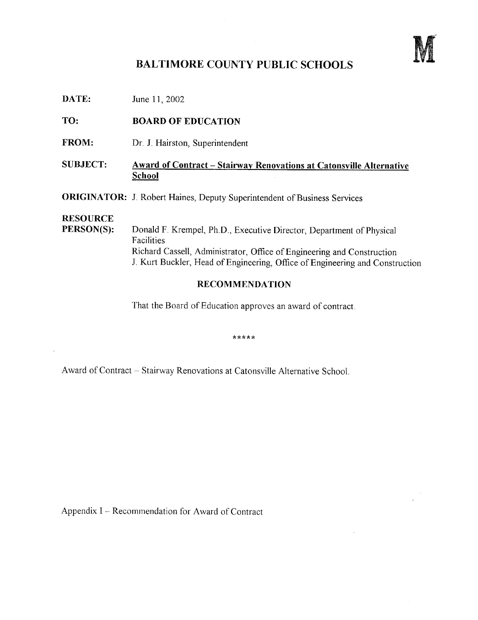

## BALTIMORE COUNTY PUBLIC SCHOOLS

**DATE:** June 11, 2002

TO: BOARD OF EDUCATION

- FROM: Dr. J. Hairston, Superintendent
- SUBJECT: Award of Contract Stairway Renovations at Catonsville Alternative School
- **ORIGINATOR:** J. Robert Haines, Deputy Superintendent of Business Services

# RESOURCE<br>PERSON(S):

Donald F. Krempel, Ph.D., Executive Director, Department of Physical Facilities Richard Cassell, Administrator, Office of Engineering and Construction J. Kurt Buckler, Head of Engineering, Office of Engineering and Construction

### RECOMMENDATION

That the Board of Education approves an award of contract .

\*\*\*\*\*

Award of Contract - Stairway Renovations at Catonsville Alternative School.

Appendix <sup>I</sup> - Recommendation for Award of Contract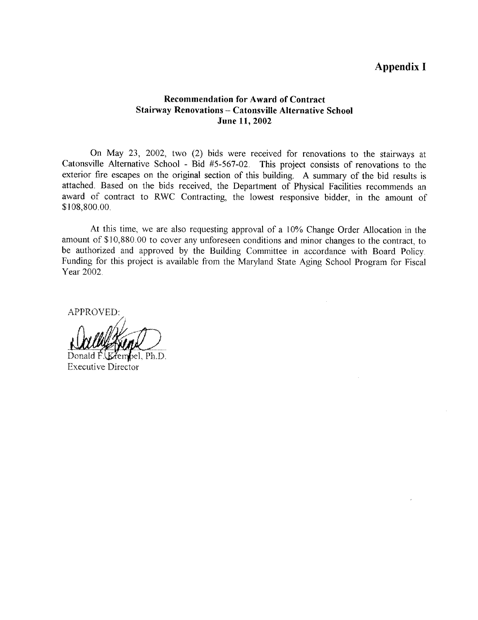## Appendix <sup>I</sup>

#### Recommendation for Award of Contract Stairway Renovations - Catonsville Alternative School June 11, 2002

On May 23, 2002, two (2) bids were received for renovations to the stairways at Catonsville Alternative School - Bid #5-567-02. This project consists of renovations to the exterior fire escapes on the original section of this building . A summary of the bid results is attached. Based on the bids received, the Department of Physical Facilities recommends an award of contract to RWC Contracting, the lowest responsive bidder, in the amount of \$108,800 .00 .

At this time, we are also requesting approval of a 10% Change Order Allocation in the amount of \$10,880.00 to cover any unforeseen conditions and minor changes to the contract, to be authorized and approved by the Building Committee in accordance with Board Policy. Funding for this project is available from the Maryland State Aging School Program for Fiscal Year 2002.

APPROVED:

:'

Donald F. (Kembel, Ph.D. Executive Director